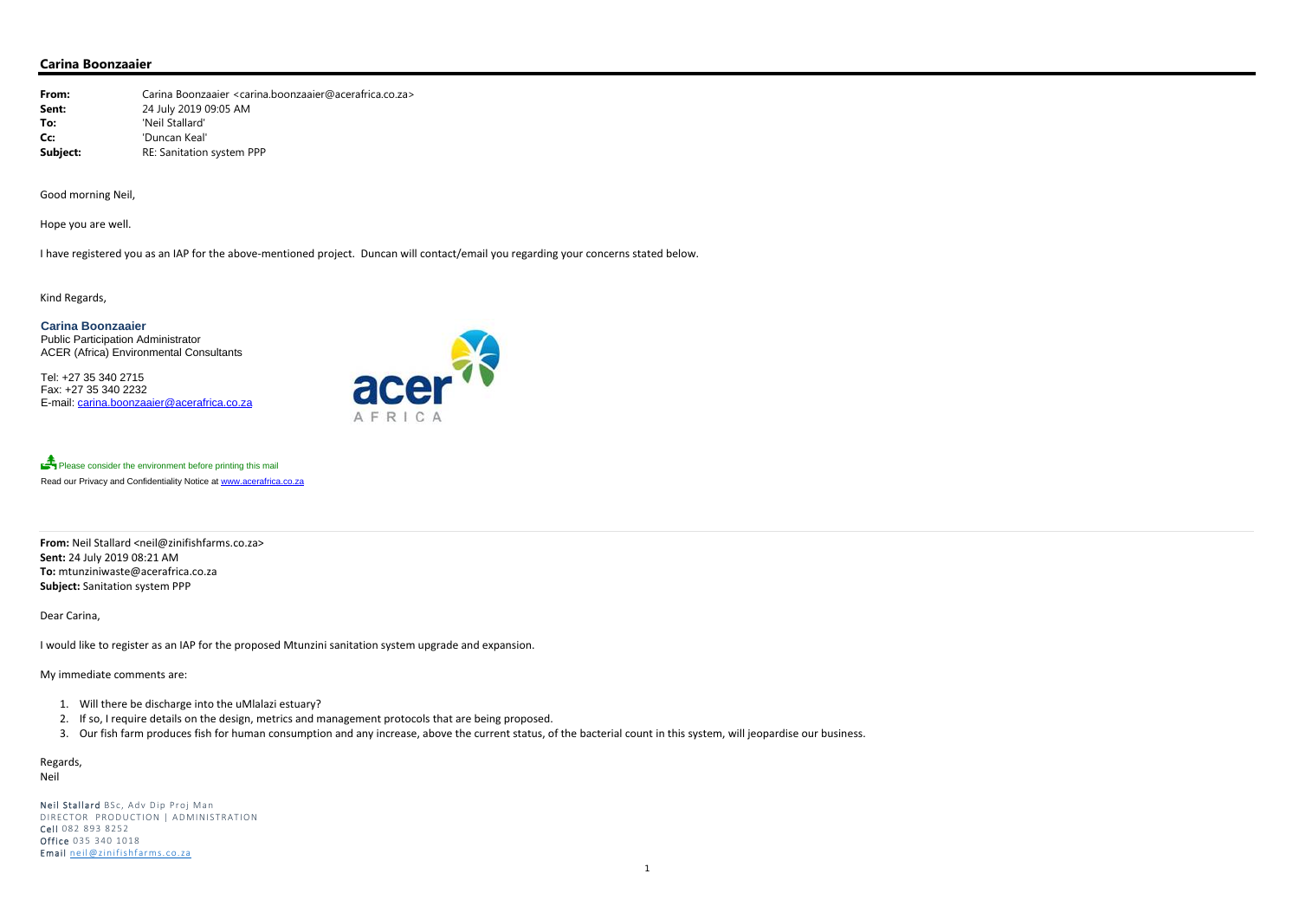**From:** Carina Boonzaaier <carina.boonzaaier@acerafrica.co.za> **Sent:** 24 July 2019 09:05 AM **To:** 'Neil Stallard' **Cc:** 'Duncan Keal' **Subject:** RE: Sanitation system PPP

## **Carina Boonzaaier**

Good morning Neil,

Hope you are well.

have registered you as an IAP for the above‐mentioned project. Duncan will contact/email you regarding your concerns stated below.

Please consider the environment before printing this mail Read our Privacy and Confidentiality Notice at www.acerafrica.co.za

Kind Regards,

**Carina Boonzaaier**  Public Participation Administrator ACER (Africa) Environmental Consultants

Tel: +27 35 340 2715 Fax: +27 35 340 2232 E-mail: carina.boonzaaier@acerafrica.co.za



**From:** Neil Stallard <neil@zinifishfarms.co.za> **Sent:** 24 July 2019 08:21 AM **To:** mtunziniwaste@acerafrica.co.za **Subject:** Sanitation system PPP

Dear Carina,

Iwould like to register as an IAP for the proposed Mtunzini sanitation system upgrade and expansion.

My immediate comments are:

- 1. Will there be discharge into the uMlalazi estuary?
- 2. If so, I require details on the design, metrics and management protocols that are being proposed.
- 3. Our fish farm produces fish for human consumption and any increase, above the current status, of the bacterial count in this system, will jeopardise our business.

Regards,

Neil

Neil Stallard BSc, Adv Dip Proj Man DIRECTOR PRODUCTION | ADMINISTRATION **Cell** 082 893 8252 **Office** 035 340 1018 Email neil@zinifishfarms.co.za